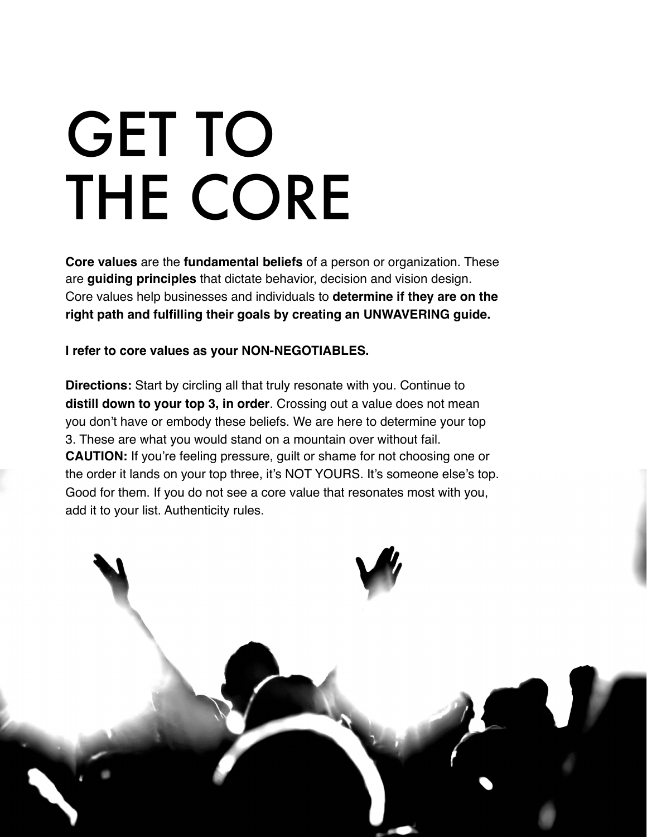## GET TO THE CORE

**Core values** are the **fundamental beliefs** of a person or organization. These are **guiding principles** that dictate behavior, decision and vision design. Core values help businesses and individuals to **determine if they are on the right path and fulfilling their goals by creating an UNWAVERING guide.** 

**I refer to core values as your NON-NEGOTIABLES.** 

**Directions:** Start by circling all that truly resonate with you. Continue to **distill down to your top 3, in order**. Crossing out a value does not mean you don't have or embody these beliefs. We are here to determine your top 3. These are what you would stand on a mountain over without fail. **CAUTION:** If you're feeling pressure, guilt or shame for not choosing one or the order it lands on your top three, it's NOT YOURS. It's someone else's top. Good for them. If you do not see a core value that resonates most with you, add it to your list. Authenticity rules.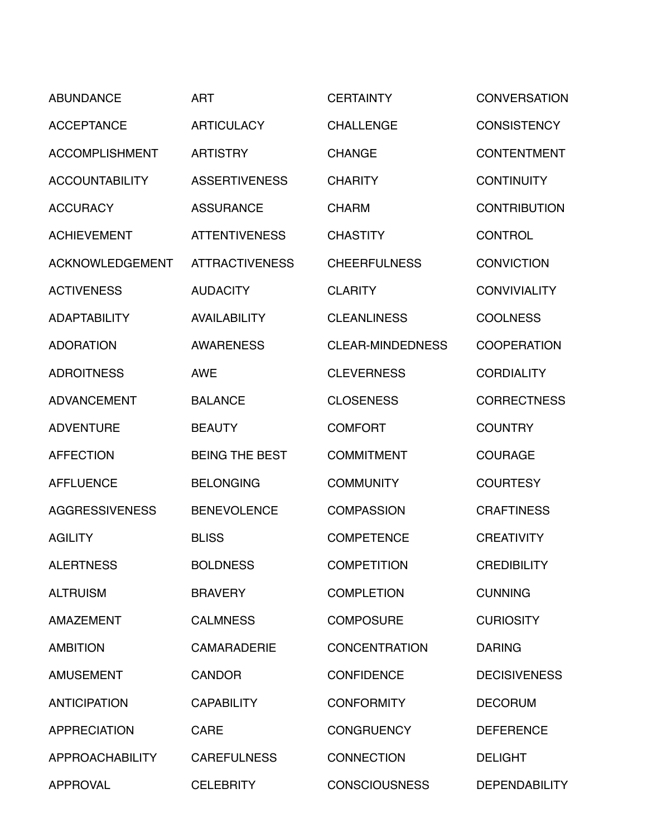| <b>ABUNDANCE</b>       | <b>ART</b>            | <b>CERTAINTY</b>        | <b>CONVERSATION</b>  |
|------------------------|-----------------------|-------------------------|----------------------|
| <b>ACCEPTANCE</b>      | <b>ARTICULACY</b>     | <b>CHALLENGE</b>        | <b>CONSISTENCY</b>   |
| <b>ACCOMPLISHMENT</b>  | <b>ARTISTRY</b>       | <b>CHANGE</b>           | <b>CONTENTMENT</b>   |
| <b>ACCOUNTABILITY</b>  | <b>ASSERTIVENESS</b>  | <b>CHARITY</b>          | <b>CONTINUITY</b>    |
| <b>ACCURACY</b>        | <b>ASSURANCE</b>      | <b>CHARM</b>            | <b>CONTRIBUTION</b>  |
| <b>ACHIEVEMENT</b>     | <b>ATTENTIVENESS</b>  | <b>CHASTITY</b>         | <b>CONTROL</b>       |
| <b>ACKNOWLEDGEMENT</b> | <b>ATTRACTIVENESS</b> | <b>CHEERFULNESS</b>     | <b>CONVICTION</b>    |
| <b>ACTIVENESS</b>      | <b>AUDACITY</b>       | <b>CLARITY</b>          | <b>CONVIVIALITY</b>  |
| <b>ADAPTABILITY</b>    | <b>AVAILABILITY</b>   | <b>CLEANLINESS</b>      | <b>COOLNESS</b>      |
| <b>ADORATION</b>       | <b>AWARENESS</b>      | <b>CLEAR-MINDEDNESS</b> | <b>COOPERATION</b>   |
| <b>ADROITNESS</b>      | <b>AWE</b>            | <b>CLEVERNESS</b>       | <b>CORDIALITY</b>    |
| <b>ADVANCEMENT</b>     | <b>BALANCE</b>        | <b>CLOSENESS</b>        | <b>CORRECTNESS</b>   |
| <b>ADVENTURE</b>       | <b>BEAUTY</b>         | <b>COMFORT</b>          | <b>COUNTRY</b>       |
| <b>AFFECTION</b>       | <b>BEING THE BEST</b> | <b>COMMITMENT</b>       | <b>COURAGE</b>       |
| <b>AFFLUENCE</b>       | <b>BELONGING</b>      | <b>COMMUNITY</b>        | <b>COURTESY</b>      |
| <b>AGGRESSIVENESS</b>  | <b>BENEVOLENCE</b>    | <b>COMPASSION</b>       | <b>CRAFTINESS</b>    |
| <b>AGILITY</b>         | <b>BLISS</b>          | <b>COMPETENCE</b>       | <b>CREATIVITY</b>    |
| <b>ALERTNESS</b>       | <b>BOLDNESS</b>       | <b>COMPETITION</b>      | <b>CREDIBILITY</b>   |
| <b>ALTRUISM</b>        | <b>BRAVERY</b>        | <b>COMPLETION</b>       | <b>CUNNING</b>       |
| <b>AMAZEMENT</b>       | <b>CALMNESS</b>       | <b>COMPOSURE</b>        | <b>CURIOSITY</b>     |
| <b>AMBITION</b>        | <b>CAMARADERIE</b>    | <b>CONCENTRATION</b>    | <b>DARING</b>        |
| <b>AMUSEMENT</b>       | <b>CANDOR</b>         | <b>CONFIDENCE</b>       | <b>DECISIVENESS</b>  |
| <b>ANTICIPATION</b>    | <b>CAPABILITY</b>     | <b>CONFORMITY</b>       | <b>DECORUM</b>       |
| <b>APPRECIATION</b>    | <b>CARE</b>           | <b>CONGRUENCY</b>       | <b>DEFERENCE</b>     |
| <b>APPROACHABILITY</b> | <b>CAREFULNESS</b>    | <b>CONNECTION</b>       | <b>DELIGHT</b>       |
| <b>APPROVAL</b>        | <b>CELEBRITY</b>      | <b>CONSCIOUSNESS</b>    | <b>DEPENDABILITY</b> |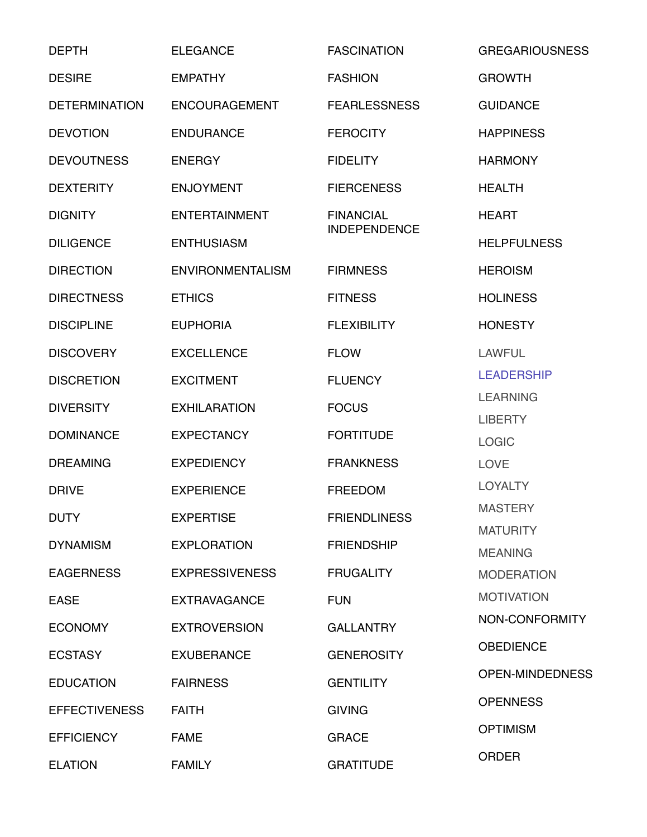| <b>DEPTH</b>         | <b>ELEGANCE</b>         | <b>FASCINATION</b>  | <b>GREGARIOUSNESS</b>  |
|----------------------|-------------------------|---------------------|------------------------|
| <b>DESIRE</b>        | <b>EMPATHY</b>          | <b>FASHION</b>      | <b>GROWTH</b>          |
| <b>DETERMINATION</b> | <b>ENCOURAGEMENT</b>    | <b>FEARLESSNESS</b> | <b>GUIDANCE</b>        |
| <b>DEVOTION</b>      | <b>ENDURANCE</b>        | <b>FEROCITY</b>     | <b>HAPPINESS</b>       |
| <b>DEVOUTNESS</b>    | <b>ENERGY</b>           | <b>FIDELITY</b>     | <b>HARMONY</b>         |
| <b>DEXTERITY</b>     | <b>ENJOYMENT</b>        | <b>FIERCENESS</b>   | <b>HEALTH</b>          |
| <b>DIGNITY</b>       | <b>ENTERTAINMENT</b>    | <b>FINANCIAL</b>    | <b>HEART</b>           |
| <b>DILIGENCE</b>     | <b>ENTHUSIASM</b>       | <b>INDEPENDENCE</b> | <b>HELPFULNESS</b>     |
| <b>DIRECTION</b>     | <b>ENVIRONMENTALISM</b> | <b>FIRMNESS</b>     | <b>HEROISM</b>         |
| <b>DIRECTNESS</b>    | <b>ETHICS</b>           | <b>FITNESS</b>      | <b>HOLINESS</b>        |
| <b>DISCIPLINE</b>    | <b>EUPHORIA</b>         | <b>FLEXIBILITY</b>  | <b>HONESTY</b>         |
| <b>DISCOVERY</b>     | <b>EXCELLENCE</b>       | <b>FLOW</b>         | <b>LAWFUL</b>          |
| <b>DISCRETION</b>    | <b>EXCITMENT</b>        | <b>FLUENCY</b>      | <b>LEADERSHIP</b>      |
| <b>DIVERSITY</b>     | <b>EXHILARATION</b>     | <b>FOCUS</b>        | <b>LEARNING</b>        |
| <b>DOMINANCE</b>     | <b>EXPECTANCY</b>       | <b>FORTITUDE</b>    | <b>LIBERTY</b>         |
|                      |                         |                     | <b>LOGIC</b>           |
| <b>DREAMING</b>      | <b>EXPEDIENCY</b>       | <b>FRANKNESS</b>    | <b>LOVE</b>            |
| <b>DRIVE</b>         | <b>EXPERIENCE</b>       | <b>FREEDOM</b>      | <b>LOYALTY</b>         |
| <b>DUTY</b>          | <b>EXPERTISE</b>        | <b>FRIENDLINESS</b> | <b>MASTERY</b>         |
|                      |                         |                     | <b>MATURITY</b>        |
| <b>DYNAMISM</b>      | <b>EXPLORATION</b>      | <b>FRIENDSHIP</b>   | <b>MEANING</b>         |
| <b>EAGERNESS</b>     | <b>EXPRESSIVENESS</b>   | <b>FRUGALITY</b>    | <b>MODERATION</b>      |
| <b>EASE</b>          | <b>EXTRAVAGANCE</b>     | <b>FUN</b>          | <b>MOTIVATION</b>      |
| <b>ECONOMY</b>       | <b>EXTROVERSION</b>     | <b>GALLANTRY</b>    | NON-CONFORMITY         |
| <b>ECSTASY</b>       | <b>EXUBERANCE</b>       | <b>GENEROSITY</b>   | <b>OBEDIENCE</b>       |
| <b>EDUCATION</b>     | <b>FAIRNESS</b>         | <b>GENTILITY</b>    | <b>OPEN-MINDEDNESS</b> |
| <b>EFFECTIVENESS</b> | <b>FAITH</b>            | <b>GIVING</b>       | <b>OPENNESS</b>        |
| <b>EFFICIENCY</b>    | <b>FAME</b>             | <b>GRACE</b>        | <b>OPTIMISM</b>        |
| <b>ELATION</b>       | <b>FAMILY</b>           | <b>GRATITUDE</b>    | <b>ORDER</b>           |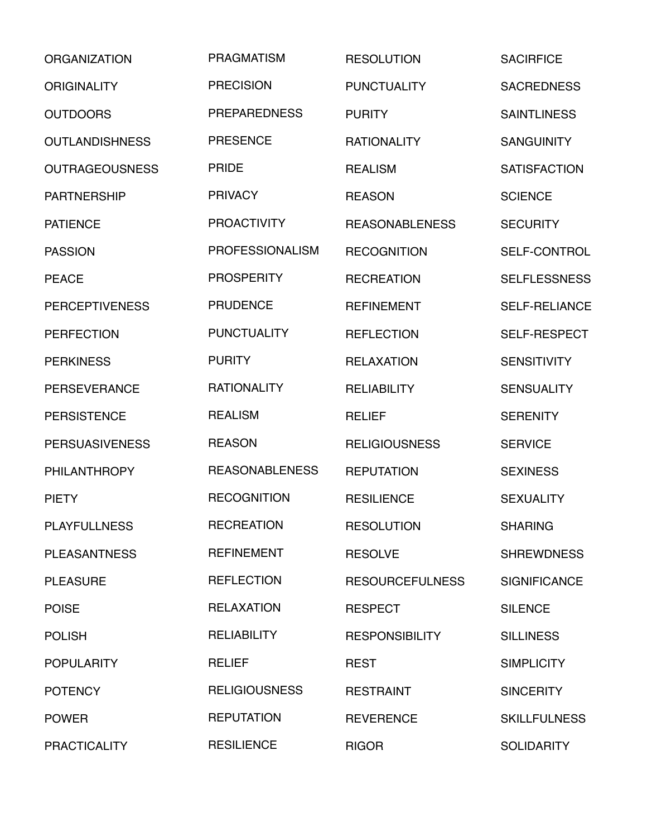| <b>ORGANIZATION</b>   | <b>PRAGMATISM</b>      | <b>RESOLUTION</b>      | <b>SACIRFICE</b>     |
|-----------------------|------------------------|------------------------|----------------------|
| <b>ORIGINALITY</b>    | <b>PRECISION</b>       | <b>PUNCTUALITY</b>     | <b>SACREDNESS</b>    |
| <b>OUTDOORS</b>       | <b>PREPAREDNESS</b>    | <b>PURITY</b>          | <b>SAINTLINESS</b>   |
| <b>OUTLANDISHNESS</b> | <b>PRESENCE</b>        | <b>RATIONALITY</b>     | <b>SANGUINITY</b>    |
| <b>OUTRAGEOUSNESS</b> | <b>PRIDE</b>           | <b>REALISM</b>         | <b>SATISFACTION</b>  |
| <b>PARTNERSHIP</b>    | <b>PRIVACY</b>         | <b>REASON</b>          | <b>SCIENCE</b>       |
| <b>PATIENCE</b>       | <b>PROACTIVITY</b>     | <b>REASONABLENESS</b>  | <b>SECURITY</b>      |
| <b>PASSION</b>        | <b>PROFESSIONALISM</b> | <b>RECOGNITION</b>     | <b>SELF-CONTROL</b>  |
| <b>PEACE</b>          | <b>PROSPERITY</b>      | <b>RECREATION</b>      | <b>SELFLESSNESS</b>  |
| <b>PERCEPTIVENESS</b> | <b>PRUDENCE</b>        | <b>REFINEMENT</b>      | <b>SELF-RELIANCE</b> |
| <b>PERFECTION</b>     | <b>PUNCTUALITY</b>     | <b>REFLECTION</b>      | <b>SELF-RESPECT</b>  |
| <b>PERKINESS</b>      | <b>PURITY</b>          | <b>RELAXATION</b>      | <b>SENSITIVITY</b>   |
| <b>PERSEVERANCE</b>   | <b>RATIONALITY</b>     | <b>RELIABILITY</b>     | <b>SENSUALITY</b>    |
| <b>PERSISTENCE</b>    | <b>REALISM</b>         | <b>RELIEF</b>          | <b>SERENITY</b>      |
| <b>PERSUASIVENESS</b> | <b>REASON</b>          | <b>RELIGIOUSNESS</b>   | <b>SERVICE</b>       |
| <b>PHILANTHROPY</b>   | <b>REASONABLENESS</b>  | <b>REPUTATION</b>      | <b>SEXINESS</b>      |
| <b>PIETY</b>          | <b>RECOGNITION</b>     | <b>RESILIENCE</b>      | <b>SEXUALITY</b>     |
| <b>PLAYFULLNESS</b>   | <b>RECREATION</b>      | <b>RESOLUTION</b>      | <b>SHARING</b>       |
| <b>PLEASANTNESS</b>   | <b>REFINEMENT</b>      | <b>RESOLVE</b>         | <b>SHREWDNESS</b>    |
| <b>PLEASURE</b>       | <b>REFLECTION</b>      | <b>RESOURCEFULNESS</b> | <b>SIGNIFICANCE</b>  |
| <b>POISE</b>          | <b>RELAXATION</b>      | <b>RESPECT</b>         | <b>SILENCE</b>       |
| <b>POLISH</b>         | <b>RELIABILITY</b>     | <b>RESPONSIBILITY</b>  | <b>SILLINESS</b>     |
| <b>POPULARITY</b>     | <b>RELIEF</b>          | <b>REST</b>            | <b>SIMPLICITY</b>    |
| <b>POTENCY</b>        | <b>RELIGIOUSNESS</b>   | <b>RESTRAINT</b>       | <b>SINCERITY</b>     |
| <b>POWER</b>          | <b>REPUTATION</b>      | <b>REVERENCE</b>       | <b>SKILLFULNESS</b>  |
| <b>PRACTICALITY</b>   | <b>RESILIENCE</b>      | <b>RIGOR</b>           | <b>SOLIDARITY</b>    |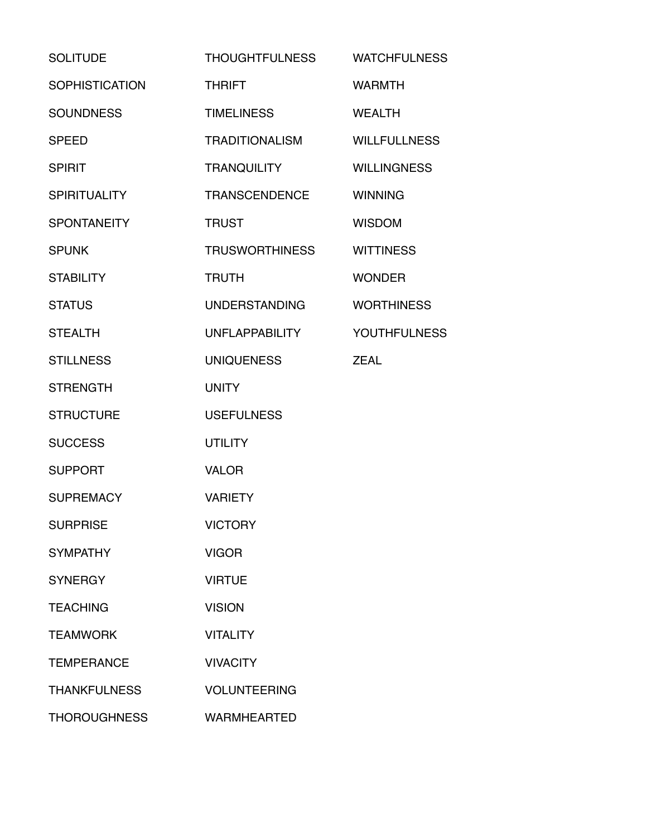| <b>SOLITUDE</b>       | <b>THOUGHTFULNESS</b> | <b>WATCHFULNESS</b> |
|-----------------------|-----------------------|---------------------|
| <b>SOPHISTICATION</b> | <b>THRIFT</b>         | <b>WARMTH</b>       |
| <b>SOUNDNESS</b>      | <b>TIMELINESS</b>     | <b>WEALTH</b>       |
| <b>SPEED</b>          | <b>TRADITIONALISM</b> | <b>WILLFULLNESS</b> |
| <b>SPIRIT</b>         | <b>TRANQUILITY</b>    | <b>WILLINGNESS</b>  |
| <b>SPIRITUALITY</b>   | <b>TRANSCENDENCE</b>  | <b>WINNING</b>      |
| <b>SPONTANEITY</b>    | <b>TRUST</b>          | <b>WISDOM</b>       |
| <b>SPUNK</b>          | <b>TRUSWORTHINESS</b> | <b>WITTINESS</b>    |
| <b>STABILITY</b>      | <b>TRUTH</b>          | <b>WONDER</b>       |
| <b>STATUS</b>         | <b>UNDERSTANDING</b>  | <b>WORTHINESS</b>   |
| <b>STEALTH</b>        | <b>UNFLAPPABILITY</b> | <b>YOUTHFULNESS</b> |
| <b>STILLNESS</b>      | <b>UNIQUENESS</b>     | <b>ZEAL</b>         |
| <b>STRENGTH</b>       | <b>UNITY</b>          |                     |
| <b>STRUCTURE</b>      | <b>USEFULNESS</b>     |                     |
| <b>SUCCESS</b>        | <b>UTILITY</b>        |                     |
| <b>SUPPORT</b>        | <b>VALOR</b>          |                     |
| <b>SUPREMACY</b>      | <b>VARIETY</b>        |                     |
| <b>SURPRISE</b>       | <b>VICTORY</b>        |                     |
| <b>SYMPATHY</b>       | <b>VIGOR</b>          |                     |
| <b>SYNERGY</b>        | <b>VIRTUE</b>         |                     |
| <b>TEACHING</b>       | <b>VISION</b>         |                     |
| <b>TEAMWORK</b>       | <b>VITALITY</b>       |                     |
| <b>TEMPERANCE</b>     | <b>VIVACITY</b>       |                     |
| <b>THANKFULNESS</b>   | <b>VOLUNTEERING</b>   |                     |
| <b>THOROUGHNESS</b>   | <b>WARMHEARTED</b>    |                     |